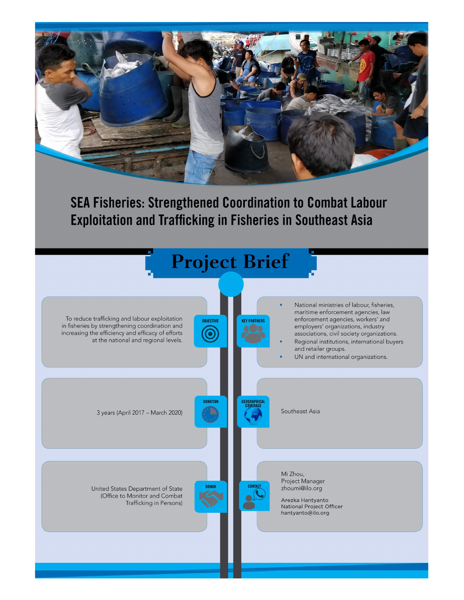